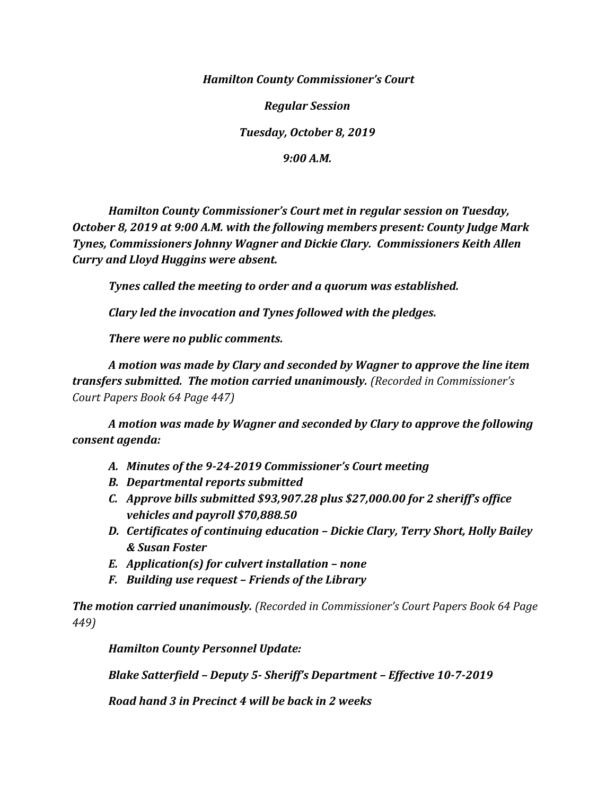*Hamilton County Commissioner's Court*

*Regular Session*

*Tuesday, October 8, 2019*

*9:00 A.M.*

*Hamilton County Commissioner's Court met in regular session on Tuesday, October 8, 2019 at 9:00 A.M. with the following members present: County Judge Mark Tynes, Commissioners Johnny Wagner and Dickie Clary. Commissioners Keith Allen Curry and Lloyd Huggins were absent.*

*Tynes called the meeting to order and a quorum was established.*

*Clary led the invocation and Tynes followed with the pledges.*

*There were no public comments.*

*A motion was made by Clary and seconded by Wagner to approve the line item transfers submitted. The motion carried unanimously. (Recorded in Commissioner's Court Papers Book 64 Page 447)*

*A motion was made by Wagner and seconded by Clary to approve the following consent agenda:*

- *A. Minutes of the 9-24-2019 Commissioner's Court meeting*
- *B. Departmental reports submitted*
- *C. Approve bills submitted \$93,907.28 plus \$27,000.00 for 2 sheriff's office vehicles and payroll \$70,888.50*
- *D. Certificates of continuing education – Dickie Clary, Terry Short, Holly Bailey & Susan Foster*
- *E. Application(s) for culvert installation – none*
- *F. Building use request – Friends of the Library*

*The motion carried unanimously. (Recorded in Commissioner's Court Papers Book 64 Page 449)*

*Hamilton County Personnel Update:*

*Blake Satterfield – Deputy 5- Sheriff's Department – Effective 10-7-2019*

*Road hand 3 in Precinct 4 will be back in 2 weeks*